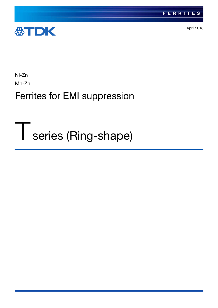

April 2018

Ni-Zn

Mn-Zn

## Ferrites for EMI suppression

# Tseries (Ring-shape)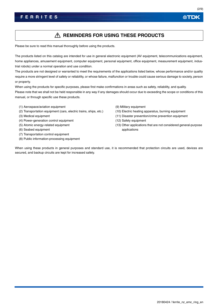## A REMINDERS FOR USING THESE PRODUCTS

Please be sure to read this manual thoroughly before using the products.

The products listed on this catalog are intended for use in general electronic equipment (AV equipment, telecommunications equipment, home appliances, amusement equipment, computer equipment, personal equipment, office equipment, measurement equipment, industrial robots) under a normal operation and use condition.

The products are not designed or warranted to meet the requirements of the applications listed below, whose performance and/or quality require a more stringent level of safety or reliability, or whose failure, malfunction or trouble could cause serious damage to society, person or property.

When using the products for specific purposes, please first make confirmations in areas such as safety, reliability, and quality. Please note that we shall not be held responsible in any way if any damages should occur due to exceeding the scope or conditions of this manual, or through specific use these products.

- (1) Aerospace/aviation equipment
- (2) Transportation equipment (cars, electric trains, ships, etc.)
- (3) Medical equipment
- (4) Power-generation control equipment
- (5) Atomic energy-related equipment
- (6) Seabed equipment
- (7) Transportation control equipment
- (8) Public information-processing equipment

(9) Military equipment

- (10) Electric heating apparatus, burning equipment
- (11) Disaster prevention/crime prevention equipment
- (12) Safety equipment
- (13) Other applications that are not considered general-purpose applications

When using these products in general purposes and standard use, it is recommended that protection circuits are used, devices are secured, and backup circuits are kept for increased safety.

公TDK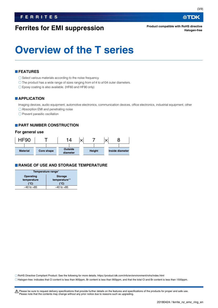## **Ferrites for EMI suppression**

## **Overview of the T series**

## **FEATURES**

O Select various materials according to the noise frequency.

O The product has a wide range of sizes ranging from ø14 to ø104 outer diameters.

Epoxy coating is also available. (HF60 and HF90 only)

## **APPLICATION**

Imaging devices, audio equipment, automotive electronics, communication devices, office electronics, industrial equipment, other

Absorption EMI and penetrating noise

 $\bigcirc$  Prevent parasitic oscillation

## **PART NUMBER CONSTRUCTION**

### **For general use**



## **RANGE OF USE AND STORAGE TEMPERATURE**

| Temperature range*          |                |  |  |
|-----------------------------|----------------|--|--|
| Operating<br><b>Storage</b> |                |  |  |
| temperature                 | temperature**  |  |  |
| (°C)                        | (°C)           |  |  |
| $-40$ to $+85$              | $-40$ to $+85$ |  |  |
|                             |                |  |  |

RoHS Directive Compliant Product: See the following for more details. https://product.tdk.com/info/en/environment/rohs/index.html

Halogen-free: indicates that Cl content is less than 900ppm, Br content is less than 900ppm, and that the total Cl and Br content is less than 1500ppm.

A Please be sure to request delivery specifications that provide further details on the features and specifications of the products for proper and safe use. Please note that the contents may change without any prior notice due to reasons such as upgrading.

∰TDK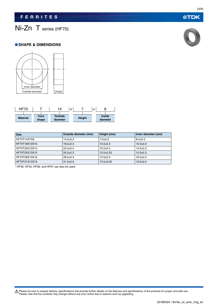## Ni-Zn T series (HF70)

### **SHAPE & DIMENSIONS**



| HF70            |               | 14                         | × |               | $\times$ |                           |
|-----------------|---------------|----------------------------|---|---------------|----------|---------------------------|
|                 |               |                            |   |               |          |                           |
| <b>Material</b> | Core<br>shape | <b>Outside</b><br>diameter |   | <b>Height</b> |          | <b>Inside</b><br>diameter |

| <b>Size</b>   | Outside diameter (mm) | Height (mm)    | Inner diameter (mm) |
|---------------|-----------------------|----------------|---------------------|
| HF70T14X7X8   | $14.0 \pm 0.3$        | $7.0 + 0.2$    | $8.0 \pm 0.3$       |
| HF70T18X10X10 | $18.0 + 0.3$          | $10.0 \pm 0.3$ | $10.0 + 0.3$        |
| HF70T22X10X14 | $22.0+0.4$            | $10.0 + 0.3$   | $14.0 \pm 0.3$      |
| HF70T25X13X15 | $25.0+0.3$            | $13.0+0.25$    | $15.0+0.3$          |
| HF70T28X13X16 | $28.0+0.4$            | $13.0 \pm 0.3$ | $16.0+0.4$          |
| HF70T31X13X19 | $31.0 \pm 0.5$        | $13.0+0.25$    | $19.0 + 0.5$        |

HF30, HF40, HF56, and HF57 can also be used.

Please be sure to request delivery specifications that provide further details on the features and specifications of the products for proper and safe use.<br>Please note that the contents may change without any prior notice d



**公TDK**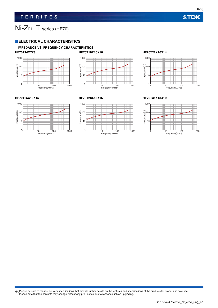(5/9)

## Ni-Zn T series (HF70)

## **ELECTRICAL CHARACTERISTICS**

## **IMPEDANCE VS. FREQUENCY CHARACTERISTICS HF70T14X7X8 HF70T18X10X10 HF70T22X10X14**











### **HF70T25X13X15 HF70T28X13X16 HF70T31X13X19**



Please be sure to request delivery specifications that provide further details on the features and specifications of the products for proper and safe use.<br>Please note that the contents may change without any prior notice d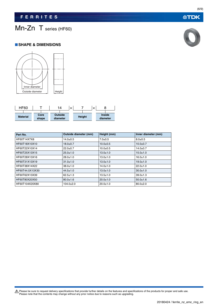## Mn-Zn T series (HF60)

### **SHAPE & DIMENSIONS**





| Part No.        | Outside diameter (mm) | Height (mm)    | Inner diameter (mm) |
|-----------------|-----------------------|----------------|---------------------|
| HF60T14X7X8     | $14.0 \pm 0.5$        | $7.0 + 0.5$    | $8.0 \pm 0.5$       |
| HF60T18X10X10   | $18.0 \pm 0.7$        | $10.0 + 0.5$   | $10.0 + 0.7$        |
| HF60T22X10X14   | $22.0 \pm 0.7$        | $10.0 + 0.5$   | $14.0 \pm 0.7$      |
| HF60T25X13X15   | $25.0 \pm 1.0$        | $13.0 \pm 1.0$ | $15.0 + 1.0$        |
| HF60T28X13X16   | $28.0 \pm 1.0$        | $13.0 \pm 1.0$ | $16.0 \pm 1.0$      |
| HF60T31X13X19   | $31.0 \pm 1.0$        | $13.0 \pm 1.0$ | $19.0 \pm 1.0$      |
| HF60T38X14X22   | $38.0 \pm 1.0$        | $14.0 \pm 1.0$ | $22.0 \pm 1.0$      |
| HF60T44.5X13X30 | $44.5 \pm 1.0$        | $13.0 \pm 1.0$ | $30.0 \pm 1.0$      |
| HF60T62X13X39   | $62.5 \pm 1.3$        | $13.5 \pm 1.0$ | $39.0 \pm 1.3$      |
| HF60T80X20X50   | $80.0 \pm 1.6$        | $20.0 + 1.0$   | $50.0 \pm 1.6$      |
| HF60T104X20X80  | $104.0 \pm 2.0$       | $20.0 + 1.0$   | $80.0 + 2.0$        |

Please be sure to request delivery specifications that provide further details on the features and specifications of the products for proper and safe use.<br>Please note that the contents may change without any prior notice d

(6/9)

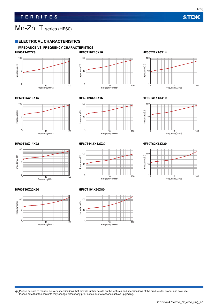(7/9)

## Mn-Zn T series (HF60)

## **ELECTRICAL CHARACTERISTICS**

### **IMPEDANCE VS. FREQUENCY CHARACTERISTICS HF60T14X7X8 HF60T18X10X10 HF60T22X10X14**











### **HF60T25X13X15 HF60T28X13X16 HF60T31X13X19**







### **HF60T38X14X22 HF60T44.5X13X30 HF60T62X13X39**



### **HF60T80X20X50 HF60T104X20X80**





Please be sure to request delivery specifications that provide further details on the features and specifications of the products for proper and safe use.<br>Please note that the contents may change without any prior notice d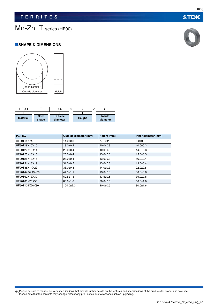## Mn-Zn T series (HF90)

### **SHAPE & DIMENSIONS**





| Part No.        | Outside diameter (mm) | Height (mm)    | Inner diameter (mm) |
|-----------------|-----------------------|----------------|---------------------|
| HF90T14X7X8     | $14.0 \pm 0.3$        | $7.0 + 0.2$    | $8.0 \pm 0.3$       |
| HF90T18X10X10   | $18.0 + 0.4$          | $10.0 + 0.3$   | $10.0 + 0.3$        |
| HF90T22X10X14   | $22.0+0.4$            | $10.0 + 0.3$   | $14.0 + 0.3$        |
| HF90T25X13X15   | $25.0 \pm 0.4$        | $13.0 \pm 0.3$ | $15.0 \pm 0.3$      |
| HF90T28X13X16   | $28.0 \pm 0.4$        | $13.0 \pm 0.3$ | $16.0 + 0.4$        |
| HF90T31X13X19   | $31.0 \pm 0.5$        | $13.0 \pm 0.3$ | $19.0 + 0.4$        |
| HF90T38X14X22   | $38.0 \pm 0.8$        | $14.0 \pm 0.3$ | $22.0+0.5$          |
| HF90T44.5X13X30 | $44.5 \pm 1.1$        | $13.0 \pm 0.5$ | $30.0 + 0.8$        |
| HF90T62X13X39   | $62.5 \pm 1.3$        | $13.5 \pm 0.5$ | $39.0 + 0.8$        |
| HF90T80X20X50   | $80.0 \pm 1.6$        | $20.0 + 0.5$   | $50.0 \pm 1.0$      |
| HF90T104X20X80  | $104.0 \pm 2.0$       | $20.0+0.5$     | $80.0 \pm 1.6$      |

Please be sure to request delivery specifications that provide further details on the features and specifications of the products for proper and safe use.<br>Please note that the contents may change without any prior notice d



**公TDK**